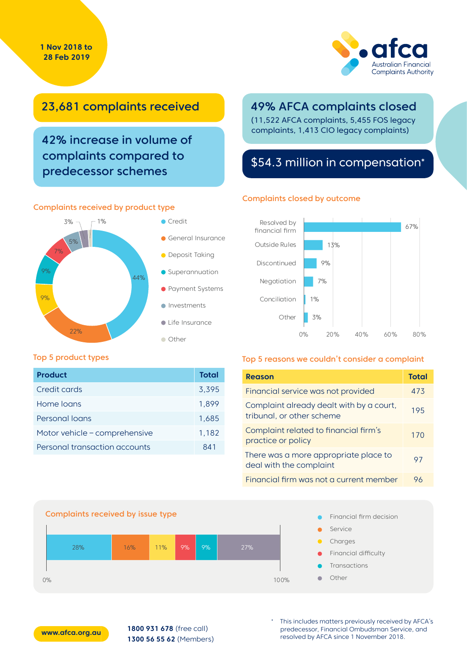#### **1 Nov 2018 to 28 Feb 2019**



### 23,681 complaints received

42% increase in volume of complaints compared to predecessor schemes

#### Complaints received by product type



### 49% AFCA complaints closed

(11,522 AFCA complaints, 5,455 FOS legacy complaints, 1,413 CIO legacy complaints)

### \$54.3 million in compensation\*

#### Complaints closed by outcome



#### Top 5 product types

| <b>Product</b>                | Total |
|-------------------------------|-------|
| Credit cards                  | 3.395 |
| Home loans                    | 1.899 |
| Personal loans                | 1.685 |
| Motor vehicle - comprehensive | 1,182 |
| Personal transaction accounts | 841   |

#### Top 5 reasons we couldn't consider a complaint

| <b>Reason</b>                                                         | Total |
|-----------------------------------------------------------------------|-------|
| Financial service was not provided                                    | 473   |
| Complaint already dealt with by a court,<br>tribunal, or other scheme | 195   |
| Complaint related to financial firm's<br>practice or policy           | 170   |
| There was a more appropriate place to<br>deal with the complaint      | 97    |
| Financial firm was not a current member                               | 96    |





**1800 931 678** (free call) **1300 56 55 62** (Members) This includes matters previously received by AFCA's predecessor, Financial Ombudsman Service, and resolved by AFCA since 1 November 2018.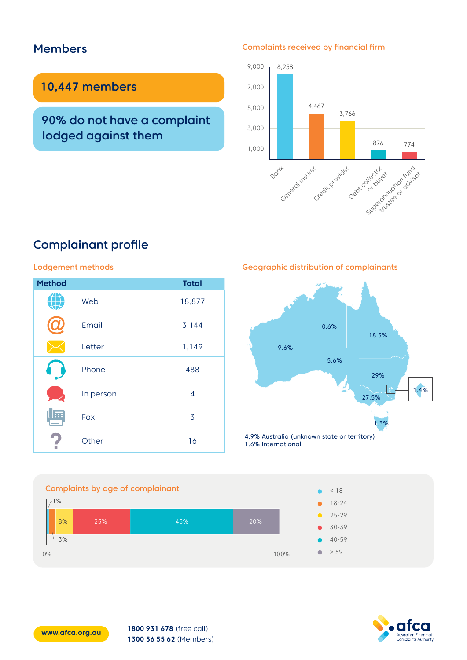### Members

### 10,447 members

90% do not have a complaint lodged against them

#### Complaints received by financial firm



# Complainant profile

#### Lodgement methods

| <b>Method</b> |           | <b>Total</b> |
|---------------|-----------|--------------|
|               | Web       | 18,877       |
|               | Email     | 3,144        |
|               | Letter    | 1,149        |
|               | Phone     | 488          |
|               | In person | 4            |
|               | Fax       | 3            |
|               | Other     | 16           |

Geographic distribution of complainants



Complaints by age of complainant  $1%$  $L_{3\%}$ 8% 25% 45% 20% 0%  $100\%$ < 18 30-39 18-24 40-59 > 59 25-29